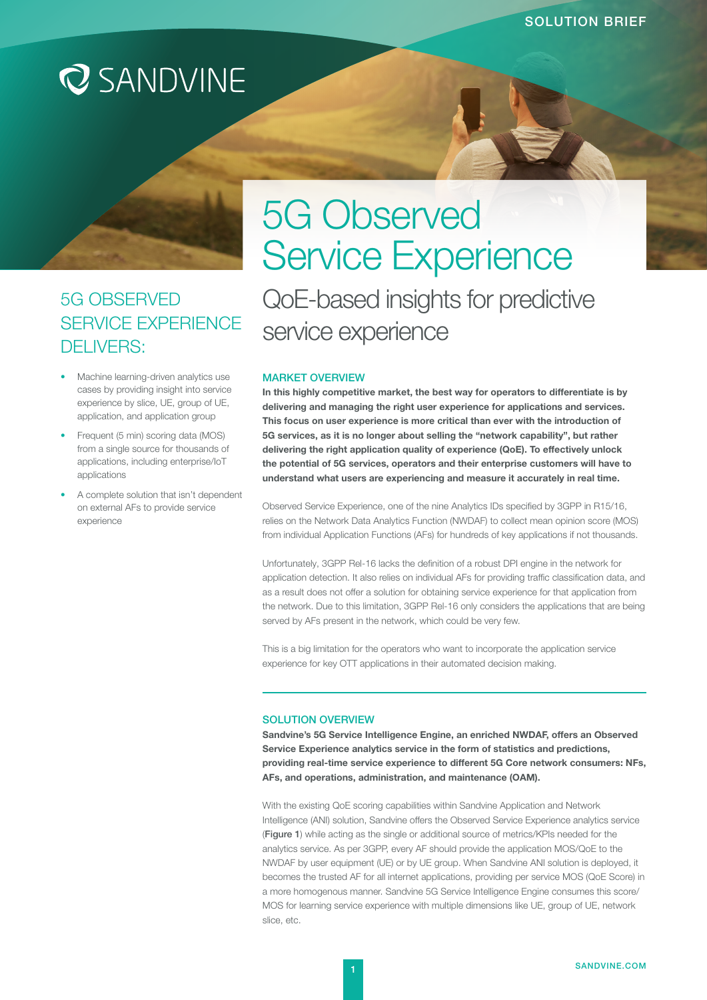## **Q** SANDVINE

### 5G OBSERVED SERVICE EXPERIENCE DELIVERS:

- Machine learning-driven analytics use cases by providing insight into service experience by slice, UE, group of UE, application, and application group
- Frequent (5 min) scoring data (MOS) from a single source for thousands of applications, including enterprise/IoT applications
- A complete solution that isn't dependent on external AFs to provide service experience

# 5G Observed Service Experience QoE-based insights for predictive service experience

#### MARKET OVERVIEW

In this highly competitive market, the best way for operators to differentiate is by delivering and managing the right user experience for applications and services. This focus on user experience is more critical than ever with the introduction of 5G services, as it is no longer about selling the "network capability", but rather delivering the right application quality of experience (QoE). To effectively unlock the potential of 5G services, operators and their enterprise customers will have to understand what users are experiencing and measure it accurately in real time.

Observed Service Experience, one of the nine Analytics IDs specified by 3GPP in R15/16, relies on the Network Data Analytics Function (NWDAF) to collect mean opinion score (MOS) from individual Application Functions (AFs) for hundreds of key applications if not thousands.

Unfortunately, 3GPP Rel-16 lacks the definition of a robust DPI engine in the network for application detection. It also relies on individual AFs for providing traffic classification data, and as a result does not offer a solution for obtaining service experience for that application from the network. Due to this limitation, 3GPP Rel-16 only considers the applications that are being served by AFs present in the network, which could be very few.

This is a big limitation for the operators who want to incorporate the application service experience for key OTT applications in their automated decision making.

#### SOLUTION OVERVIEW

Sandvine's 5G Service Intelligence Engine, an enriched NWDAF, offers an Observed Service Experience analytics service in the form of statistics and predictions, providing real-time service experience to different 5G Core network consumers: NFs, AFs, and operations, administration, and maintenance (OAM).

With the existing QoE scoring capabilities within Sandvine Application and Network Intelligence (ANI) solution, Sandvine offers the Observed Service Experience analytics service (Figure 1) while acting as the single or additional source of metrics/KPIs needed for the analytics service. As per 3GPP, every AF should provide the application MOS/QoE to the NWDAF by user equipment (UE) or by UE group. When Sandvine ANI solution is deployed, it becomes the trusted AF for all internet applications, providing per service MOS (QoE Score) in a more homogenous manner. Sandvine 5G Service Intelligence Engine consumes this score/ MOS for learning service experience with multiple dimensions like UE, group of UE, network slice, etc.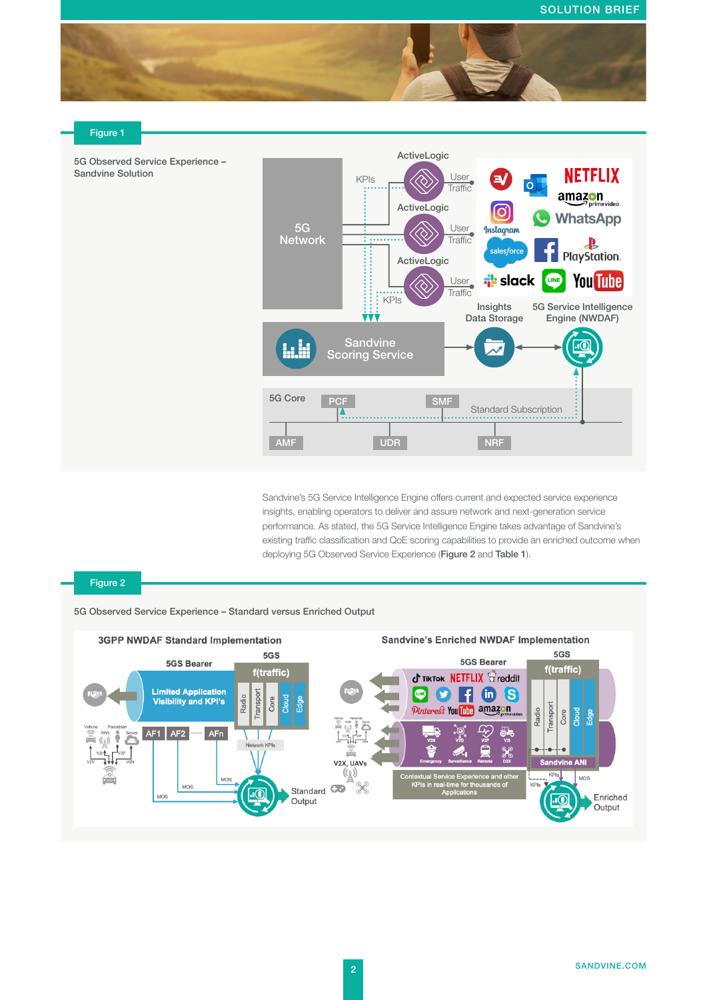

#### Figure 1





Sandvine's 5G Service Intelligence Engine offers current and expected service experience insights, enabling operators to deliver and assure network and next-generation service performance. As stated, the 5G Service Intelligence Engine takes advantage of Sandvine's existing traffic classification and QoE scoring capabilities to provide an enriched outcome when deploying 5G Observed Service Experience (Figure 2 and Table 1).

#### Figure 2

5G Observed Service Experience – Standard versus Enriched Output

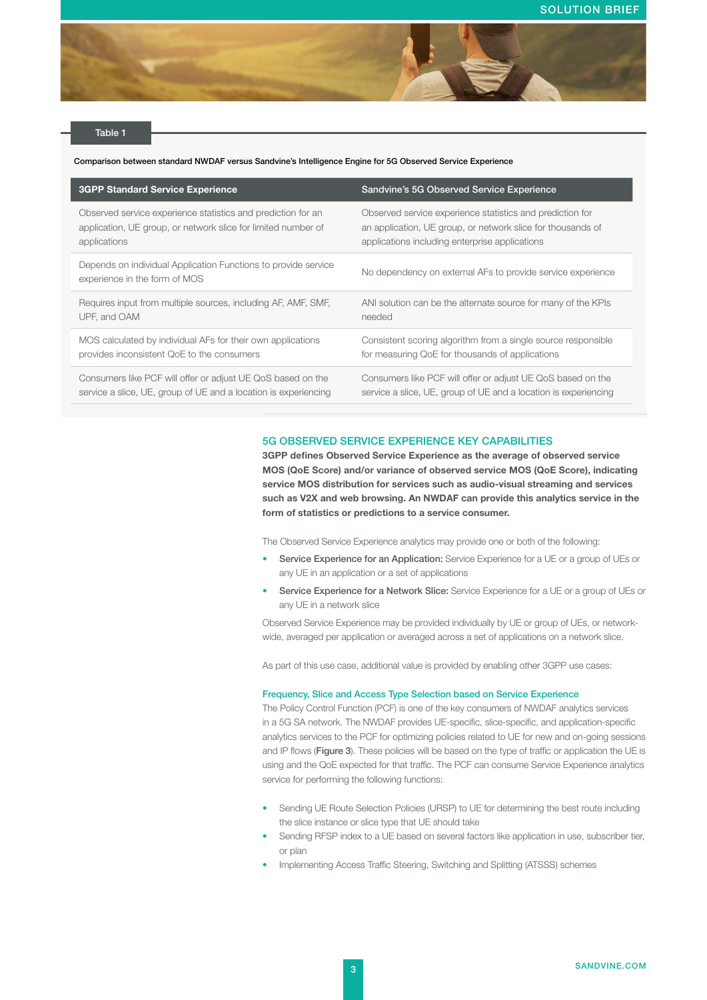

#### Table 1

Comparison between standard NWDAF versus Sandvine's Intelligence Engine for 5G Observed Service Experience

| <b>3GPP Standard Service Experience</b>                                                         | Sandvine's 5G Observed Service Experience                       |
|-------------------------------------------------------------------------------------------------|-----------------------------------------------------------------|
| Observed service experience statistics and prediction for an                                    | Observed service experience statistics and prediction for       |
| application, UE group, or network slice for limited number of                                   | an application, UE group, or network slice for thousands of     |
| applications                                                                                    | applications including enterprise applications                  |
| Depends on individual Application Functions to provide service<br>experience in the form of MOS | No dependency on external AFs to provide service experience     |
| Requires input from multiple sources, including AF, AMF, SMF,                                   | ANI solution can be the alternate source for many of the KPIs   |
| UPF, and OAM                                                                                    | needed                                                          |
| MOS calculated by individual AFs for their own applications                                     | Consistent scoring algorithm from a single source responsible   |
| provides inconsistent QoE to the consumers                                                      | for measuring QoE for thousands of applications                 |
| Consumers like PCF will offer or adjust UE QoS based on the                                     | Consumers like PCF will offer or adjust UE QoS based on the     |
| service a slice, UE, group of UE and a location is experiencing                                 | service a slice, UE, group of UE and a location is experiencing |

#### 5G OBSERVED SERVICE EXPERIENCE KEY CAPABILITIES

3GPP defines Observed Service Experience as the average of observed service MOS (QoE Score) and/or variance of observed service MOS (QoE Score), indicating service MOS distribution for services such as audio-visual streaming and services such as V2X and web browsing. An NWDAF can provide this analytics service in the form of statistics or predictions to a service consumer.

The Observed Service Experience analytics may provide one or both of the following:

- Service Experience for an Application: Service Experience for a UE or a group of UEs or any UE in an application or a set of applications
- Service Experience for a Network Slice: Service Experience for a UE or a group of UEs or any UE in a network slice

Observed Service Experience may be provided individually by UE or group of UEs, or networkwide, averaged per application or averaged across a set of applications on a network slice.

As part of this use case, additional value is provided by enabling other 3GPP use cases:

#### Frequency, Slice and Access Type Selection based on Service Experience

The Policy Control Function (PCF) is one of the key consumers of NWDAF analytics services in a 5G SA network. The NWDAF provides UE-specific, slice-specific, and application-specific analytics services to the PCF for optimizing policies related to UE for new and on-going sessions and IP flows (Figure 3). These policies will be based on the type of traffic or application the UE is using and the QoE expected for that traffic. The PCF can consume Service Experience analytics service for performing the following functions:

- Sending UE Route Selection Policies (URSP) to UE for determining the best route including the slice instance or slice type that UE should take
- Sending RFSP index to a UE based on several factors like application in use, subscriber tier, or plan
- Implementing Access Traffic Steering, Switching and Splitting (ATSSS) schemes